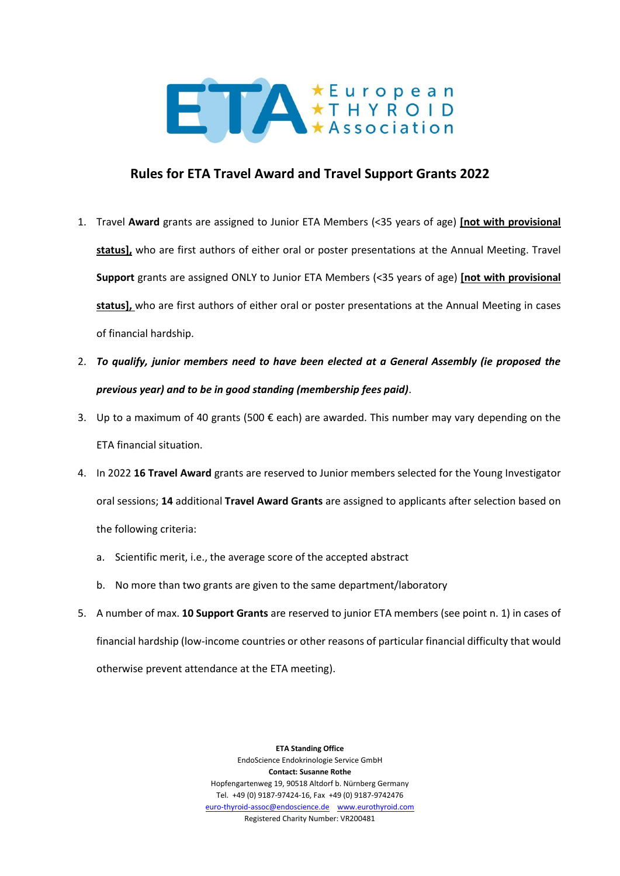

## **Rules for ETA Travel Award and Travel Support Grants 2022**

- 1. Travel **Award** grants are assigned to Junior ETA Members (<35 years of age) **[not with provisional status],** who are first authors of either oral or poster presentations at the Annual Meeting. Travel **Support** grants are assigned ONLY to Junior ETA Members (<35 years of age) **[not with provisional status],** who are first authors of either oral or poster presentations at the Annual Meeting in cases of financial hardship.
- 2. *To qualify, junior members need to have been elected at a General Assembly (ie proposed the previous year) and to be in good standing (membership fees paid)*.
- 3. Up to a maximum of 40 grants (500  $\epsilon$  each) are awarded. This number may vary depending on the ETA financial situation.
- 4. In 2022 **16 Travel Award** grants are reserved to Junior members selected for the Young Investigator oral sessions; **14** additional **Travel Award Grants** are assigned to applicants after selection based on the following criteria:
	- a. Scientific merit, i.e., the average score of the accepted abstract
	- b. No more than two grants are given to the same department/laboratory
- 5. A number of max. **10 Support Grants** are reserved to junior ETA members (see point n. 1) in cases of financial hardship (low-income countries or other reasons of particular financial difficulty that would otherwise prevent attendance at the ETA meeting).

**ETA Standing Office** EndoScience Endokrinologie Service GmbH **Contact: Susanne Rothe** Hopfengartenweg 19, 90518 Altdorf b. Nürnberg Germany Tel. +49 (0) 9187-97424-16, Fax +49 (0) 9187-9742476 [euro-thyroid-assoc@endoscience.de](mailto:euro-thyroid-assoc@endoscience.de) [www.eurothyroid.com](http://www.eurothyroid.com/) Registered Charity Number: VR200481